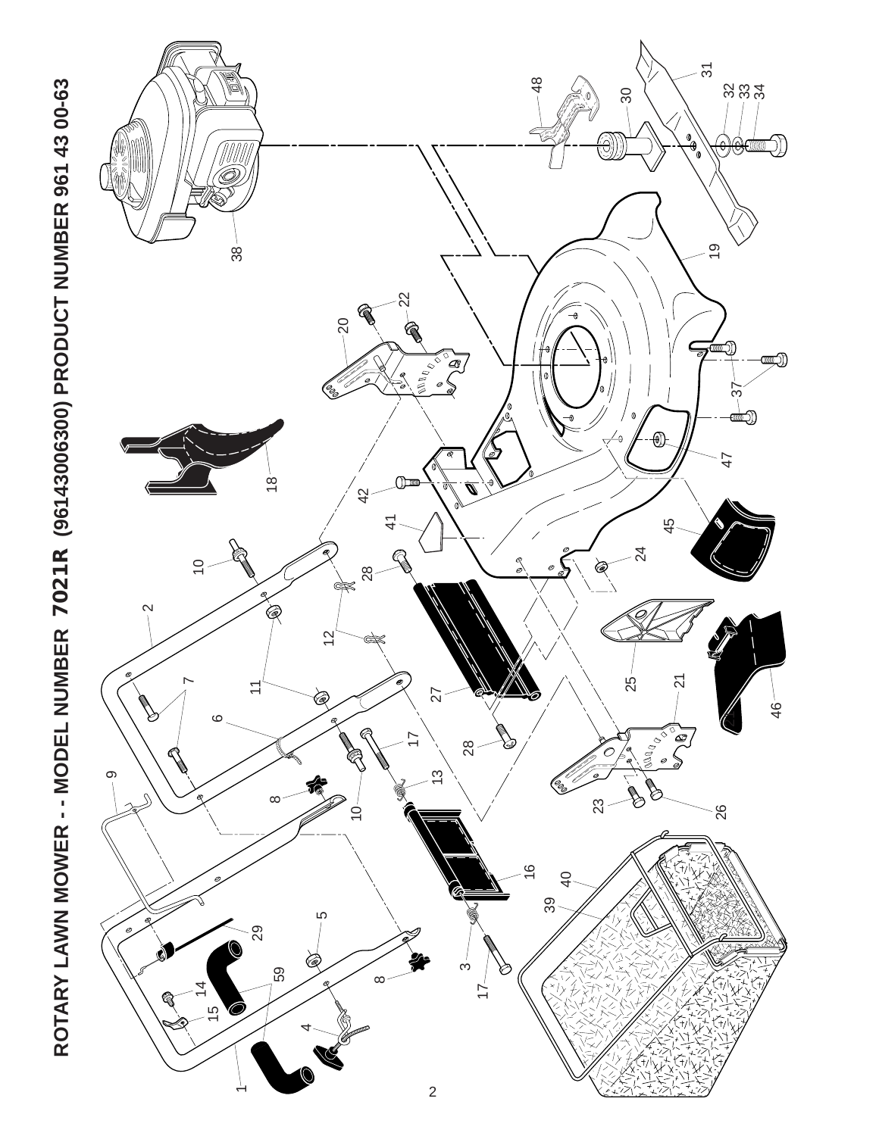ROTARY LAWN MOWER - - MODEL NUMBER 7021R (96143006300) PRODUCT NUMBER 961 43 00-63 **ROTARY LAWN MOWER - - MODEL NUMBER 7021R (96143006300) PRODUCT NUMBER 961 43 00-63**

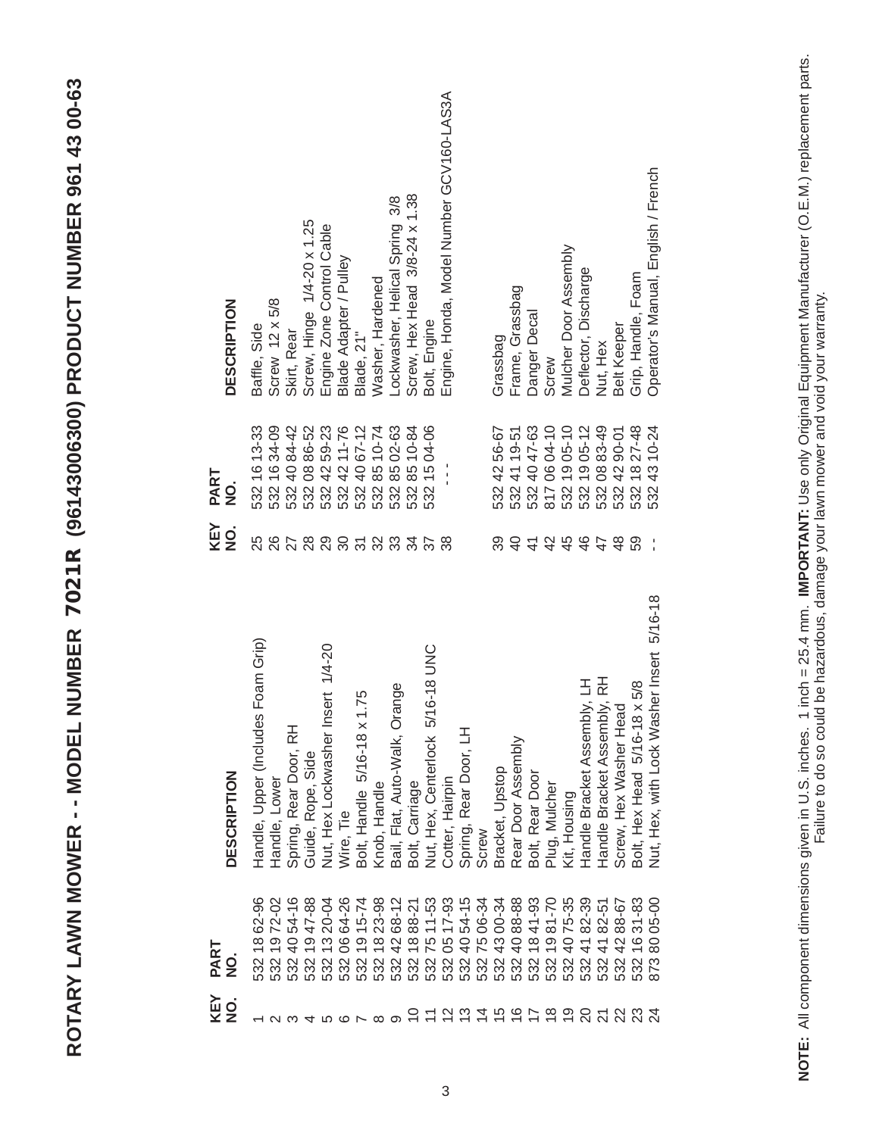| CC CC CT TCC<br>I                                                                                                                                                                                                                                                                                                                                                                                                                                                                                                                                                                                      |
|--------------------------------------------------------------------------------------------------------------------------------------------------------------------------------------------------------------------------------------------------------------------------------------------------------------------------------------------------------------------------------------------------------------------------------------------------------------------------------------------------------------------------------------------------------------------------------------------------------|
| $\begin{array}{c} \begin{array}{c} \begin{array}{c} \begin{array}{c} \end{array} \\ \begin{array}{c} \end{array} \\ \begin{array}{c} \end{array} \\ \begin{array}{c} \end{array} \end{array} \end{array} \end{array} \end{array} \end{array} \begin{array}{c} \begin{array}{c} \begin{array}{c} \end{array} \\ \begin{array}{c} \end{array} \end{array} \end{array} \end{array} \begin{array}{c} \begin{array}{c} \begin{array}{c} \end{array} \\ \begin{array}{c} \end{array} \end{array} \end{array} \end{array} \end{array} \begin{array}{c} \begin{$<br>l<br>-<br>כל<br>ג<br>ļ<br>l<br>ב<br>ג<br>ג |
| ֧֧֦֧֦֧֦֧֦֧֦֧֧֦֧֦֧֦֧֧֦֧֧ׅ֧֦֧֧֝֝֬֝֝֝֜֜֜֜֜֓֜<br>֧֝<br>is see as a<br>$\frac{1}{2}$<br>$\mathbf{\Omega}$                                                                                                                                                                                                                                                                                                                                                                                                                                                                                                   |
| $\frac{1}{4}$<br>てくり<br>ſ<br>I<br>$\frac{1}{\alpha}$                                                                                                                                                                                                                                                                                                                                                                                                                                                                                                                                                   |
| I<br>Į<br>$\frac{1}{C}$<br>$\overline{\mathbf{C}}$<br>J<br>ĕ<br>֧֧֧֧֧֧֧֧֧֦֧֧֦֧֧֦֧֚֚֚֚֚֚֚֚֚֚֚֚֚֚֚֚֚֚֚֚֚֚֚֚֬֝֓֝֓֝֓֝֓֝֓֝֓֝֓֝֬֓֓<br>É<br>I<br>ī                                                                                                                                                                                                                                                                                                                                                                                                                                                            |
| ſ<br>$\frac{1}{2}$<br>é<br>į<br>i<br>I                                                                                                                                                                                                                                                                                                                                                                                                                                                                                                                                                                 |
| ROTARY                                                                                                                                                                                                                                                                                                                                                                                                                                                                                                                                                                                                 |

|                       |                                    |                |                            | Screw, Hinge 1/4-20 x 1.25 | Engine Zone Control Cable                    | Blade Adapter / Pulley |                                  |                  | Lockwasher, Helical Spring 3/8   | Screw, Hex Head 3/8-24 x 1.38 |                                     | Engine, Honda, Model Number GCV160-LAS3A |                       |                 |                   |                    |                 |                                              | Mulcher Door Assembly | Deflector, Discharge        |                                  |                        |                              | Operator's Manual, English / French            |
|-----------------------|------------------------------------|----------------|----------------------------|----------------------------|----------------------------------------------|------------------------|----------------------------------|------------------|----------------------------------|-------------------------------|-------------------------------------|------------------------------------------|-----------------------|-----------------|-------------------|--------------------|-----------------|----------------------------------------------|-----------------------|-----------------------------|----------------------------------|------------------------|------------------------------|------------------------------------------------|
| <b>DESCRIPTION</b>    | Baffle, Side                       | Screw 12 x 5/8 | Skirt, Rear                |                            |                                              |                        | Blade, 21"                       | Washer, Hardened |                                  |                               | Bolt, Engine                        |                                          |                       |                 | Grassbag          | Frame, Grassbag    | Danger Decal    | Screw                                        |                       |                             | Nut, Hex                         | <b>Belt Keeper</b>     | Grip, Handle, Foam           |                                                |
| PART<br>$\frac{1}{2}$ | 532 16 13-33                       | 532 16 34-09   | 532 40 84-42               | 532 08 86-52               | 532 42 59-23<br>532 42 11-76<br>532 40 67-12 |                        |                                  | 532 85 10-74     | 532 85 02-63                     | 532 85 10-84                  | 532 15 04-06                        |                                          |                       |                 | 532 42 56-67      | 532 41 19-51       | 532 40 47-63    | 817 06 04-10<br>532 19 05-10<br>532 19 05-12 |                       |                             | 532 08 83-49                     | 532 42 90-01           | 532 18 27-48                 | 532 43 10-24                                   |
| KEY<br>NO.            | 25                                 | 26             |                            |                            | 2<br>2022<br>2022<br>2022                    |                        |                                  |                  |                                  |                               | $\overline{\mathcal{E}}$            | 38                                       |                       |                 | 39                | $\overline{4}$     | $\pm$           | 42                                           | 45                    |                             | 47                               | $\frac{8}{4}$          | 59                           |                                                |
| <b>DESCRIPTION</b>    | Handle, Upper (Includes Foam Grip) | Handle, Lower  | ᆂ<br>Spring, Rear Door, RI | Guide, Rope, Side          | Nut, Hex Lockwasher Insert 1/4-20            | Wire, Tie              | $x$ 1.75<br>Bolt, Handle 5/16-18 | Knob, Handle     | Orange<br>Bail, Flat, Auto-Walk, | Bolt, Carriage                | 5/16-18 UNC<br>Nut, Hex, Centerlock | Cotter, Hairpin                          | Spring, Rear Door, LH | Screw           | Bracket, Upstop   | Rear Door Assembly | Bolt, Rear Door | Plug, Mulcher                                | Kit, Housing          | Handle Bracket Assembly, LH | mbly, RH<br>Handle Bracket Asser | Screw, Hex Washer Head | Bolt, Hex Head 5/16-18 x 5/8 | /asher Insert 5/16-18<br>Nut, Hex, with Lock W |
| PART<br>$\dot{9}$     | 532 18 62-96                       | 532 19 72-02   | 532 40 54-16               | 532 19 47-88               | 532 13 20-04                                 | 532 06 64-26           | 532 19 15-74                     | 532 18 23-98     | 532 42 68-12                     | 532 18 88-21                  |                                     | 532 75 11-53<br>532 05 17-93             | 532 40 54-15          | 75 06-34<br>532 | 532 43 00-34      | 532 40 88-88       | 532 18 41-93    | 1981-70<br>532                               | 532 40 75-35          | 532 41 82-39                | 532 41 82-51                     | 4288-67<br>532         | 532 16 31-83                 | 8005-00<br>873                                 |
| KEY<br>NO.            |                                    |                |                            |                            |                                              |                        |                                  | $\infty$         | ာ                                |                               |                                     |                                          |                       |                 | <b>いけいいはおおけるも</b> |                    |                 |                                              |                       |                             |                                  |                        | <b>ឧ</b> ភ្គង ដ              |                                                |

NOTE: All component dimensions given in U.S. inches. 1 inch = 25.4 mm. IMPORTANT: Use only Original Equipment Manufacturer (O.E.M.) replacement parts.<br>Failure to do so could be hazardous, damage your lawn mower and void yo **NOTE:** All component dimensions given in U.S. inches. 1 inch = 25.4 mm. **IMPORTANT:** Use only Original Equipment Manufacturer (O.E.M.) replacement parts. Failure to do so could be hazardous, damage your lawn mower and void your warranty.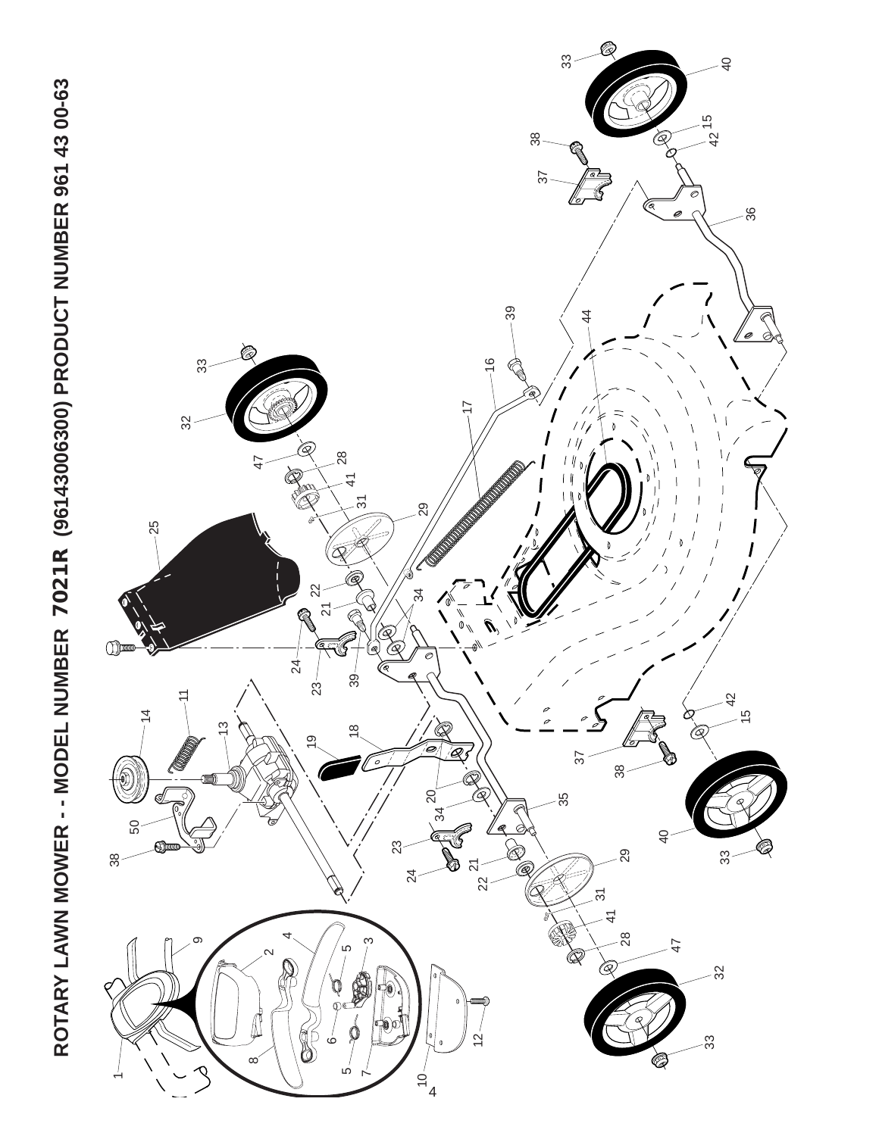